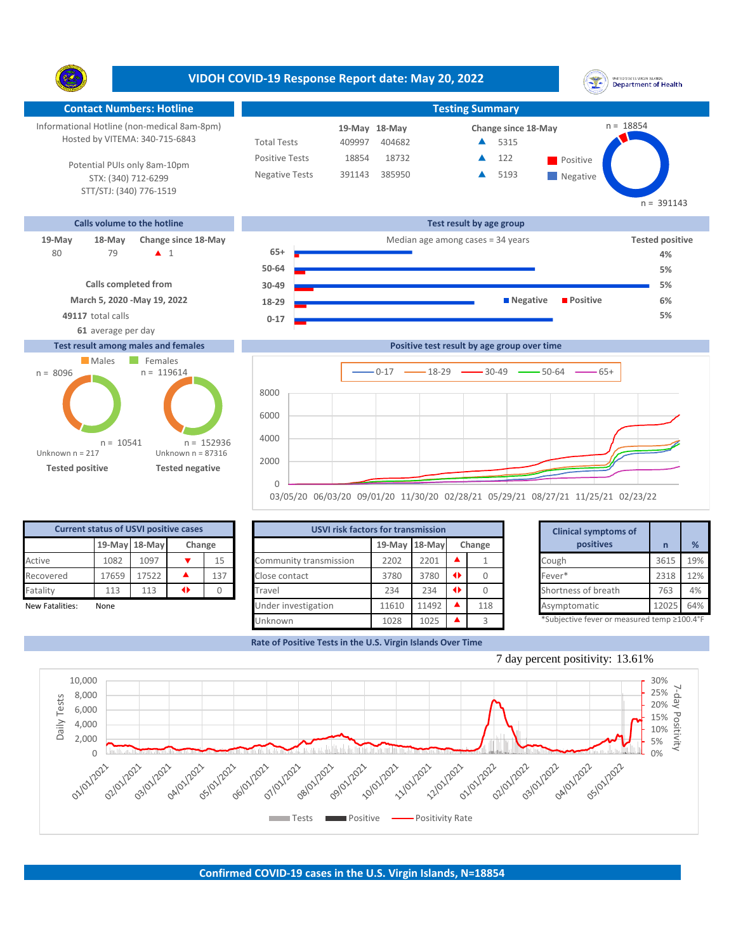**VIDOH COVID-19 Response Report date: May 20, 2022** UNITED STATES VIRGIN ISLANDS<br>Department of Health Y. **Contact Numbers: Hotline Testing Summary Testing Summary** n = 18854 Informational Hotline (non-medical 8am-8pm) **18-May 19-May Change since 18-May** Hosted by VITEMA: 340-715-6843 Total Tests 409997 404682 ▲ 5315 Positive Tests 18854 18732 **A** 122 **Positive**  $\blacktriangle$ 122 Potential PUIs only 8am-10pm Negative Tests 391143 385950 **4** 5193  $\blacktriangle$ STX: (340) 712-6299 **Negative** STT/STJ: (340) 776-1519  $n = 391143$ **Calls volume to the hotline Test result by age group 19-May 18-May Change since 18-May Change since 18-May Change and Change among cases = 34 years <b>Tested positive Tested positive** 79 **A** 1 **65+** 80 **4% 50-64 5% Calls completed from 30-49 5% March 5, 2020 -May 19, 2022 18-29 Negative Positive 6% 49117** total calls **5% 0-17 61** average per day **Test result among males and females Positive test result by age group over time** Males Females  $n = 119614$ n = 8096  $0-17$   $\longrightarrow$  18-29  $\longrightarrow$  30-49  $\longrightarrow$  50-64  $\longrightarrow$  65+ 8000 6000



**Tested positive Tested negative**

 $n = 10541$ 

Unknown n = 87316

n = 152936

 $\Omega$ 

2000 4000

Unknown n = 217

| <b>Current status of USVI positive cases</b> |       |               |                 |                |                        | <b>USVI risk factors for transmission</b> |       |               |     |  | <b>Clinical symptoms of</b>                 |       |     |
|----------------------------------------------|-------|---------------|-----------------|----------------|------------------------|-------------------------------------------|-------|---------------|-----|--|---------------------------------------------|-------|-----|
|                                              |       | 19-May 18-May |                 | Change         |                        | 19-May 18-May                             |       | Change        |     |  | positives                                   |       | %   |
| Active                                       | 1082  | 1097          |                 | 1 <sub>5</sub> | Community transmission | 2202                                      | 2201  |               |     |  | Cough                                       | 3615  | 19% |
| Recovered                                    | 17659 | 17522         |                 | 137            | Close contact          | 3780                                      | 3780  | $\rightarrow$ |     |  | Fever*                                      | 2318  | 12% |
| Fatality                                     | 113   | 113           | $\blacklozenge$ |                | Travel                 | 234                                       | 234   | $\rightarrow$ |     |  | Shortness of breath                         | 763   | 4%  |
| New Fatalities:                              | None  |               |                 |                | Under investigation    | 11610                                     | 11492 |               | 118 |  | Asymptomatic                                | 12025 | 64% |
|                                              |       |               |                 |                | Unknown                | 1028                                      | 1025  |               |     |  | *Subjective fever or measured temp ≥100.4°F |       |     |

03/05/20 06/03/20 09/01/20 11/30/20 02/28/21 05/29/21 08/27/21 11/25/21 02/23/22

**Rate of Positive Tests in the U.S. Virgin Islands Over Time**

|       | for transmission |   |        | <b>Clinical symptoms of</b>                 |       |     |  |  |  |  |
|-------|------------------|---|--------|---------------------------------------------|-------|-----|--|--|--|--|
|       | 19-May 18-May    |   | Change | positives                                   | n     | %   |  |  |  |  |
| 2202  | 2201             |   |        | Cough                                       | 3615  | 19% |  |  |  |  |
| 3780  | 3780             | ◆ | 0      | Fever*                                      | 2318  | 12% |  |  |  |  |
| 234   | 234              | ◆ |        | Shortness of breath                         | 763   | 4%  |  |  |  |  |
| 11610 | 11492            |   | 118    | Asymptomatic                                | 12025 | 64% |  |  |  |  |
| 1028  | 1025             |   | 3      | *Subjective fever or measured temp ≥100.4°F |       |     |  |  |  |  |